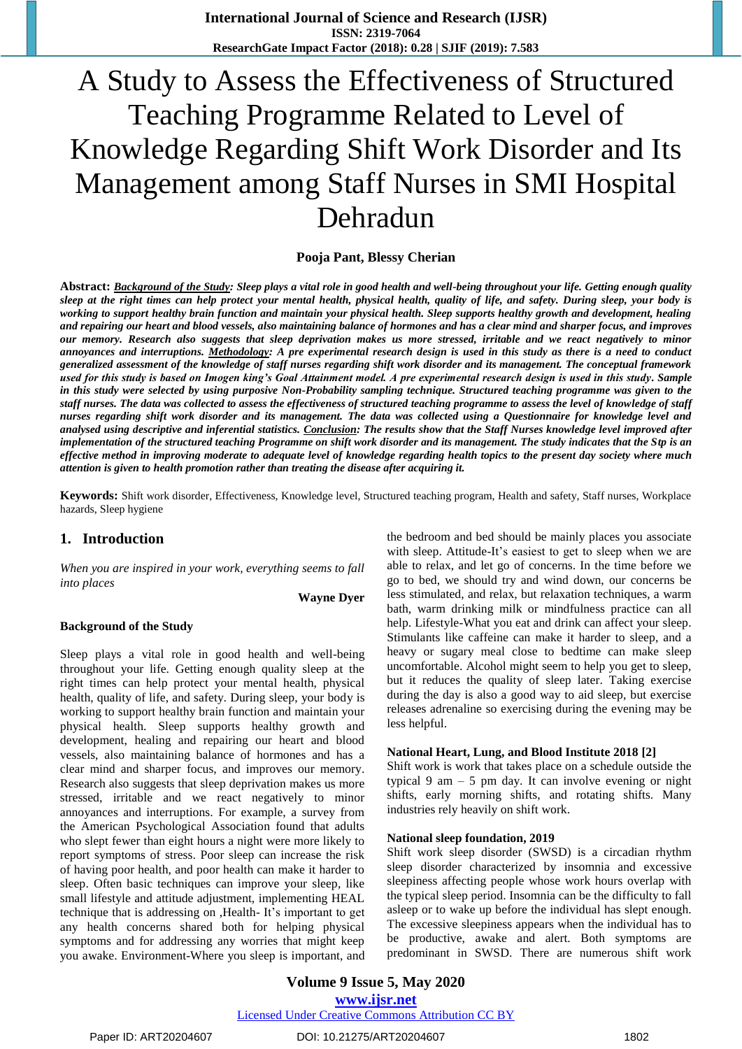# A Study to Assess the Effectiveness of Structured Teaching Programme Related to Level of Knowledge Regarding Shift Work Disorder and Its Management among Staff Nurses in SMI Hospital Dehradun

**Pooja Pant, Blessy Cherian**

**Abstract:** *Background of the Study: Sleep plays a vital role in good health and well-being throughout your life. Getting enough quality sleep at the right times can help protect your mental health, physical health, quality of life, and safety. During sleep, your body is working to support healthy brain function and maintain your physical health. Sleep supports healthy growth and development, healing and repairing our heart and blood vessels, also maintaining balance of hormones and has a clear mind and sharper focus, and improves our memory. Research also suggests that sleep deprivation makes us more stressed, irritable and we react negatively to minor annoyances and interruptions. Methodology: A pre experimental research design is used in this study as there is a need to conduct generalized assessment of the knowledge of staff nurses regarding shift work disorder and its management. The conceptual framework used for this study is based on Imogen king's Goal Attainment model. A pre experimental research design is used in this study. Sample in this study were selected by using purposive Non-Probability sampling technique. Structured teaching programme was given to the staff nurses. The data was collected to assess the effectiveness of structured teaching programme to assess the level of knowledge of staff nurses regarding shift work disorder and its management. The data was collected using a Questionnaire for knowledge level and analysed using descriptive and inferential statistics. Conclusion: The results show that the Staff Nurses knowledge level improved after implementation of the structured teaching Programme on shift work disorder and its management. The study indicates that the Stp is an effective method in improving moderate to adequate level of knowledge regarding health topics to the present day society where much attention is given to health promotion rather than treating the disease after acquiring it.*

**Keywords:** Shift work disorder, Effectiveness, Knowledge level, Structured teaching program, Health and safety, Staff nurses, Workplace hazards, Sleep hygiene

#### **1. Introduction**

*When you are inspired in your work, everything seems to fall into places* 

**Wayne Dyer** 

#### **Background of the Study**

Sleep plays a vital role in good health and well-being throughout your life. Getting enough quality sleep at the right times can help protect your mental health, physical health, quality of life, and safety. During sleep, your body is working to support healthy brain function and maintain your physical health. Sleep supports healthy growth and development, healing and repairing our heart and blood vessels, also maintaining balance of hormones and has a clear mind and sharper focus, and improves our memory. Research also suggests that sleep deprivation makes us more stressed, irritable and we react negatively to minor annoyances and interruptions. For example, a survey from the American Psychological Association found that adults who slept fewer than eight hours a night were more likely to report symptoms of stress. Poor sleep can increase the risk of having poor health, and poor health can make it harder to sleep. Often basic techniques can improve your sleep, like small lifestyle and attitude adjustment, implementing HEAL technique that is addressing on ,Health- It's important to get any health concerns shared both for helping physical symptoms and for addressing any worries that might keep you awake. Environment-Where you sleep is important, and the bedroom and bed should be mainly places you associate with sleep. Attitude-It's easiest to get to sleep when we are able to relax, and let go of concerns. In the time before we go to bed, we should try and wind down, our concerns be less stimulated, and relax, but relaxation techniques, a warm bath, warm drinking milk or mindfulness practice can all help. Lifestyle-What you eat and drink can affect your sleep. Stimulants like caffeine can make it harder to sleep, and a heavy or sugary meal close to bedtime can make sleep uncomfortable. Alcohol might seem to help you get to sleep, but it reduces the quality of sleep later. Taking exercise during the day is also a good way to aid sleep, but exercise releases adrenaline so exercising during the evening may be less helpful.

#### **National Heart, Lung, and Blood Institute 2018 [2]**

Shift work is work that takes place on a schedule outside the typical 9 am  $-$  5 pm day. It can involve evening or night shifts, early morning shifts, and rotating shifts. Many industries rely heavily on shift work.

#### **National sleep foundation, 2019**

Shift work sleep disorder (SWSD) is a circadian rhythm sleep disorder characterized by insomnia and excessive sleepiness affecting people whose work hours overlap with the typical sleep period. Insomnia can be the difficulty to fall asleep or to wake up before the individual has slept enough. The excessive sleepiness appears when the individual has to be productive, awake and alert. Both symptoms are predominant in SWSD. There are numerous shift work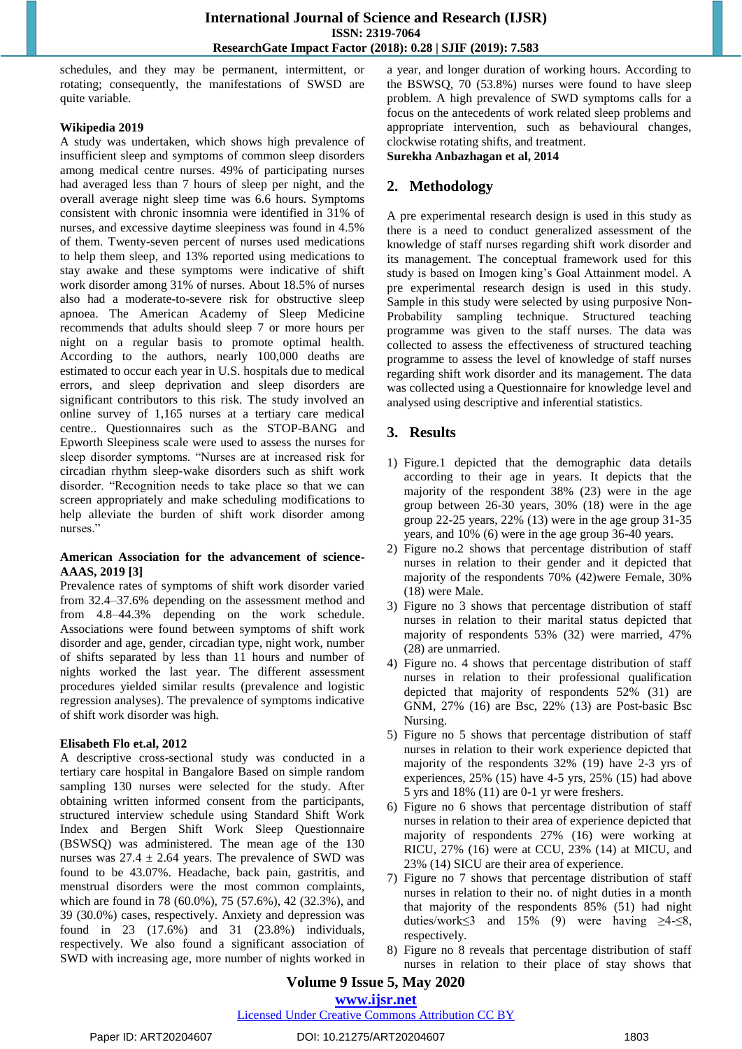schedules, and they may be permanent, intermittent, or rotating; consequently, the manifestations of SWSD are quite variable.

#### **Wikipedia 2019**

A study was undertaken, which shows high prevalence of insufficient sleep and symptoms of common sleep disorders among medical centre nurses. 49% of participating nurses had averaged less than 7 hours of sleep per night, and the overall average night sleep time was 6.6 hours. Symptoms consistent with chronic insomnia were identified in 31% of nurses, and excessive daytime sleepiness was found in 4.5% of them. Twenty-seven percent of nurses used medications to help them sleep, and 13% reported using medications to stay awake and these symptoms were indicative of shift work disorder among 31% of nurses. About 18.5% of nurses also had a moderate-to-severe risk for obstructive sleep apnoea. The American Academy of Sleep Medicine recommends that adults should sleep 7 or more hours per night on a regular basis to promote optimal health. According to the authors, nearly 100,000 deaths are estimated to occur each year in U.S. hospitals due to medical errors, and sleep deprivation and sleep disorders are significant contributors to this risk. The study involved an online survey of 1,165 nurses at a tertiary care medical centre.. Questionnaires such as the STOP-BANG and Epworth Sleepiness scale were used to assess the nurses for sleep disorder symptoms. "Nurses are at increased risk for circadian rhythm sleep-wake disorders such as shift work disorder. "Recognition needs to take place so that we can screen appropriately and make scheduling modifications to help alleviate the burden of shift work disorder among nurses."

#### **American Association for the advancement of science-AAAS, 2019 [3]**

Prevalence rates of symptoms of shift work disorder varied from 32.4–37.6% depending on the assessment method and from 4.8–44.3% depending on the work schedule. Associations were found between symptoms of shift work disorder and age, gender, circadian type, night work, number of shifts separated by less than 11 hours and number of nights worked the last year. The different assessment procedures yielded similar results (prevalence and logistic regression analyses). The prevalence of symptoms indicative of shift work disorder was high.

#### **Elisabeth Flo et.al, 2012**

A descriptive cross-sectional study was conducted in a tertiary care hospital in Bangalore Based on simple random sampling 130 nurses were selected for the study. After obtaining written informed consent from the participants, structured interview schedule using Standard Shift Work Index and Bergen Shift Work Sleep Questionnaire (BSWSQ) was administered. The mean age of the 130 nurses was  $27.4 \pm 2.64$  years. The prevalence of SWD was found to be 43.07%. Headache, back pain, gastritis, and menstrual disorders were the most common complaints, which are found in 78 (60.0%), 75 (57.6%), 42 (32.3%), and 39 (30.0%) cases, respectively. Anxiety and depression was found in 23 (17.6%) and 31 (23.8%) individuals, respectively. We also found a significant association of SWD with increasing age, more number of nights worked in a year, and longer duration of working hours. According to the BSWSQ, 70 (53.8%) nurses were found to have sleep problem. A high prevalence of SWD symptoms calls for a focus on the antecedents of work related sleep problems and appropriate intervention, such as behavioural changes, clockwise rotating shifts, and treatment.

**Surekha Anbazhagan et al, 2014**

## **2. Methodology**

A pre experimental research design is used in this study as there is a need to conduct generalized assessment of the knowledge of staff nurses regarding shift work disorder and its management. The conceptual framework used for this study is based on Imogen king's Goal Attainment model. A pre experimental research design is used in this study. Sample in this study were selected by using purposive Non-Probability sampling technique. Structured teaching programme was given to the staff nurses. The data was collected to assess the effectiveness of structured teaching programme to assess the level of knowledge of staff nurses regarding shift work disorder and its management. The data was collected using a Questionnaire for knowledge level and analysed using descriptive and inferential statistics.

# **3. Results**

- 1) Figure.1 depicted that the demographic data details according to their age in years. It depicts that the majority of the respondent 38% (23) were in the age group between 26-30 years, 30% (18) were in the age group 22-25 years, 22% (13) were in the age group 31-35 years, and 10% (6) were in the age group 36-40 years.
- 2) Figure no.2 shows that percentage distribution of staff nurses in relation to their gender and it depicted that majority of the respondents 70% (42)were Female, 30% (18) were Male.
- 3) Figure no 3 shows that percentage distribution of staff nurses in relation to their marital status depicted that majority of respondents 53% (32) were married, 47% (28) are unmarried.
- 4) Figure no. 4 shows that percentage distribution of staff nurses in relation to their professional qualification depicted that majority of respondents 52% (31) are GNM, 27% (16) are Bsc, 22% (13) are Post-basic Bsc Nursing.
- 5) Figure no 5 shows that percentage distribution of staff nurses in relation to their work experience depicted that majority of the respondents 32% (19) have 2-3 yrs of experiences, 25% (15) have 4-5 yrs, 25% (15) had above 5 yrs and 18% (11) are 0-1 yr were freshers.
- 6) Figure no 6 shows that percentage distribution of staff nurses in relation to their area of experience depicted that majority of respondents 27% (16) were working at RICU, 27% (16) were at CCU, 23% (14) at MICU, and 23% (14) SICU are their area of experience.
- 7) Figure no 7 shows that percentage distribution of staff nurses in relation to their no. of night duties in a month that majority of the respondents 85% (51) had night duties/work≤3 and 15% (9) were having  $\geq 4-\leq 8$ , respectively.
- Figure no 8 reveals that percentage distribution of staff nurses in relation to their place of stay shows that

### **Volume 9 Issue 5, May 2020 www.ijsr.net**

# Licensed Under Creative Commons Attribution CC BY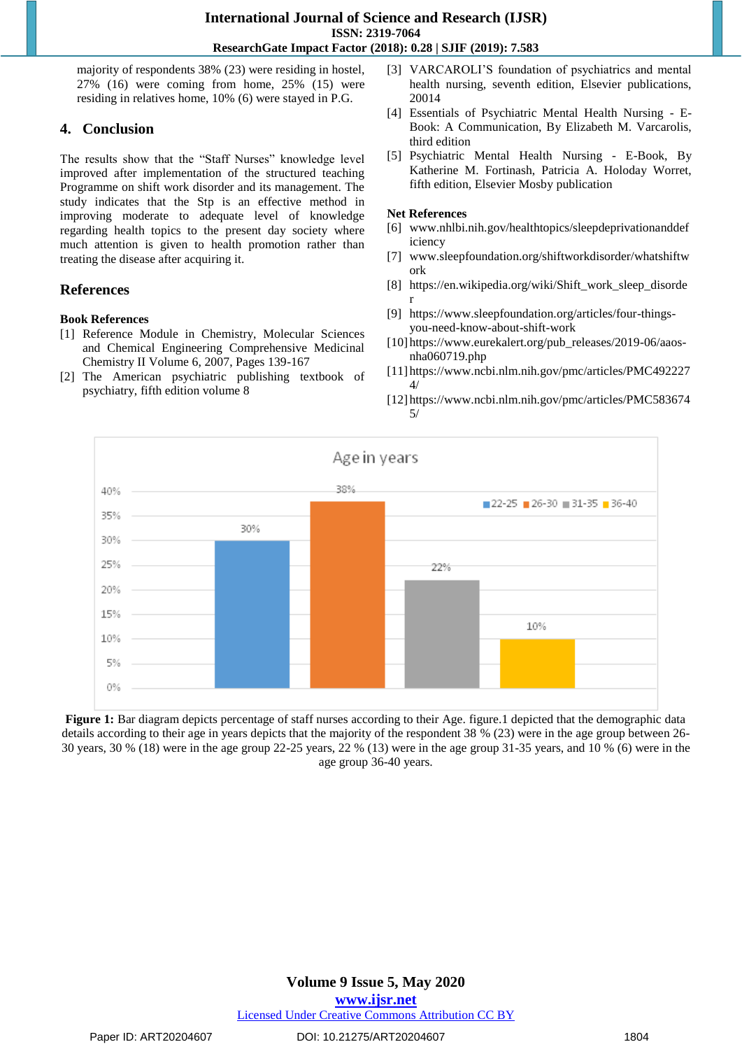majority of respondents 38% (23) were residing in hostel, 27% (16) were coming from home, 25% (15) were residing in relatives home, 10% (6) were stayed in P.G.

# **4. Conclusion**

The results show that the "Staff Nurses" knowledge level improved after implementation of the structured teaching Programme on shift work disorder and its management. The study indicates that the Stp is an effective method in improving moderate to adequate level of knowledge regarding health topics to the present day society where much attention is given to health promotion rather than treating the disease after acquiring it.

# **References**

# **Book References**

- [1] Reference Module in Chemistry, Molecular Sciences and Chemical Engineering Comprehensive Medicinal Chemistry II Volume 6, 2007, Pages 139-167
- [2] The American psychiatric publishing textbook of psychiatry, fifth edition volume 8
- [3] VARCAROLI'S foundation of psychiatrics and mental health nursing, seventh edition, Elsevier publications, 20014
- [4] Essentials of Psychiatric Mental Health Nursing E-Book: A Communication, By Elizabeth M. Varcarolis, third edition
- [5] Psychiatric Mental Health Nursing E-Book, By Katherine M. Fortinash, Patricia A. Holoday Worret, fifth edition, Elsevier Mosby publication

#### **Net References**

- [6] www.nhlbi.nih.gov/healthtopics/sleepdeprivationanddef iciency
- [7] www.sleepfoundation.org/shiftworkdisorder/whatshiftw ork
- [8] https://en.wikipedia.org/wiki/Shift\_work\_sleep\_disorde r
- [9] https://www.sleepfoundation.org/articles/four-thingsyou-need-know-about-shift-work
- [10] https://www.eurekalert.org/pub\_releases/2019-06/aaosnha060719.php
- [11] https://www.ncbi.nlm.nih.gov/pmc/articles/PMC492227 4/
- [12] https://www.ncbi.nlm.nih.gov/pmc/articles/PMC583674 5/



**Figure 1:** Bar diagram depicts percentage of staff nurses according to their Age. figure.1 depicted that the demographic data details according to their age in years depicts that the majority of the respondent 38 % (23) were in the age group between 26- 30 years, 30 % (18) were in the age group 22-25 years, 22 % (13) were in the age group 31-35 years, and 10 % (6) were in the age group 36-40 years.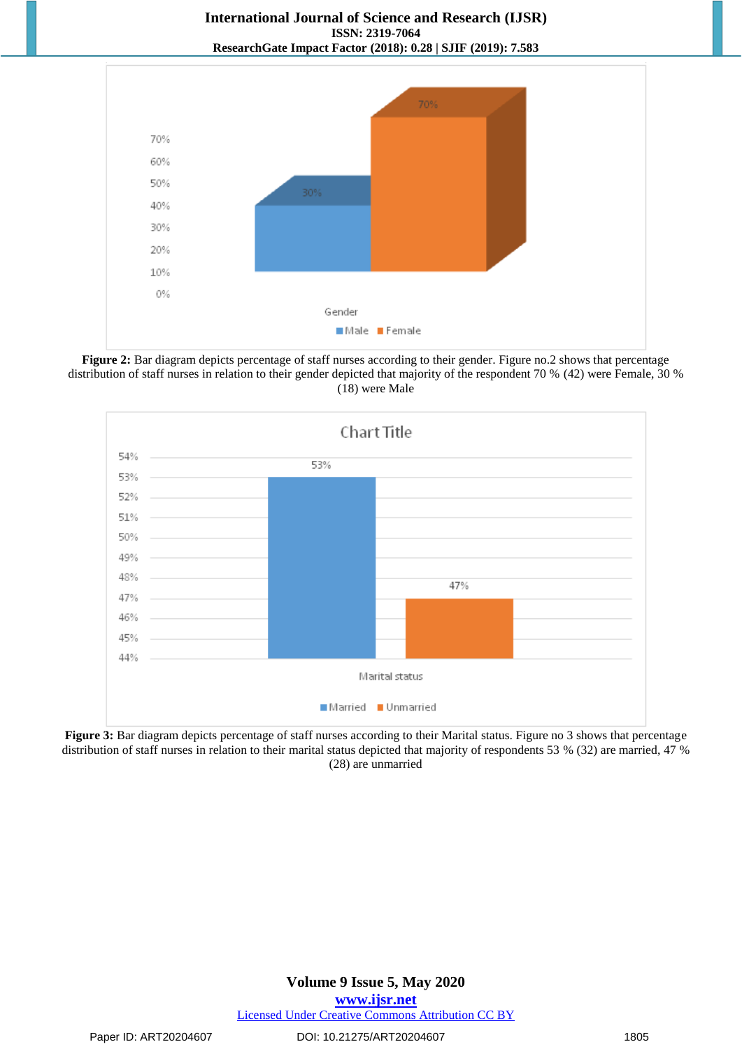

**Figure 2:** Bar diagram depicts percentage of staff nurses according to their gender. Figure no.2 shows that percentage distribution of staff nurses in relation to their gender depicted that majority of the respondent 70 % (42) were Female, 30 % (18) were Male



**Figure 3:** Bar diagram depicts percentage of staff nurses according to their Marital status. Figure no 3 shows that percentage distribution of staff nurses in relation to their marital status depicted that majority of respondents 53 % (32) are married, 47 % (28) are unmarried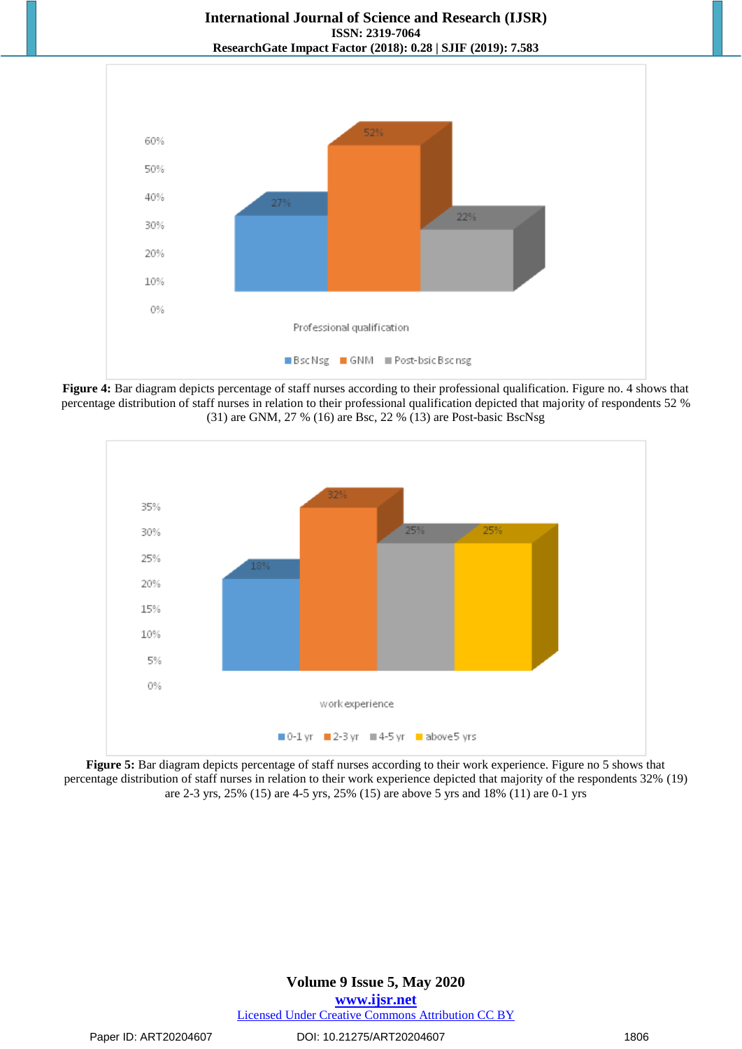

**Figure 4:** Bar diagram depicts percentage of staff nurses according to their professional qualification. Figure no. 4 shows that percentage distribution of staff nurses in relation to their professional qualification depicted that majority of respondents 52 % (31) are GNM, 27 % (16) are Bsc, 22 % (13) are Post-basic BscNsg



**Figure 5:** Bar diagram depicts percentage of staff nurses according to their work experience. Figure no 5 shows that percentage distribution of staff nurses in relation to their work experience depicted that majority of the respondents 32% (19) are 2-3 yrs, 25% (15) are 4-5 yrs, 25% (15) are above 5 yrs and 18% (11) are 0-1 yrs

# **Volume 9 Issue 5, May 2020 www.ijsr.net** Licensed Under Creative Commons Attribution CC BY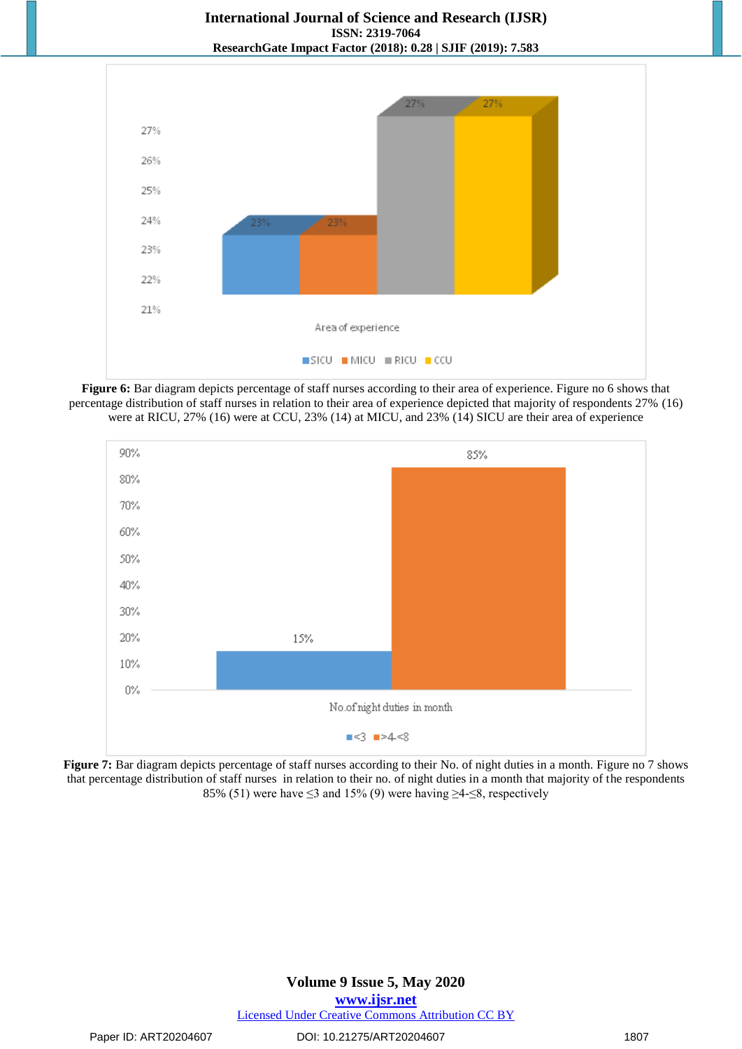





**Figure 7:** Bar diagram depicts percentage of staff nurses according to their No. of night duties in a month. Figure no 7 shows that percentage distribution of staff nurses in relation to their no. of night duties in a month that majority of the respondents 85% (51) were have  $\leq$ 3 and 15% (9) were having  $\geq$ 4- $\leq$ 8, respectively

# **Volume 9 Issue 5, May 2020 www.ijsr.net** Licensed Under Creative Commons Attribution CC BY

Paper ID: ART20204607 DOI: 10.21275/ART20204607 1807